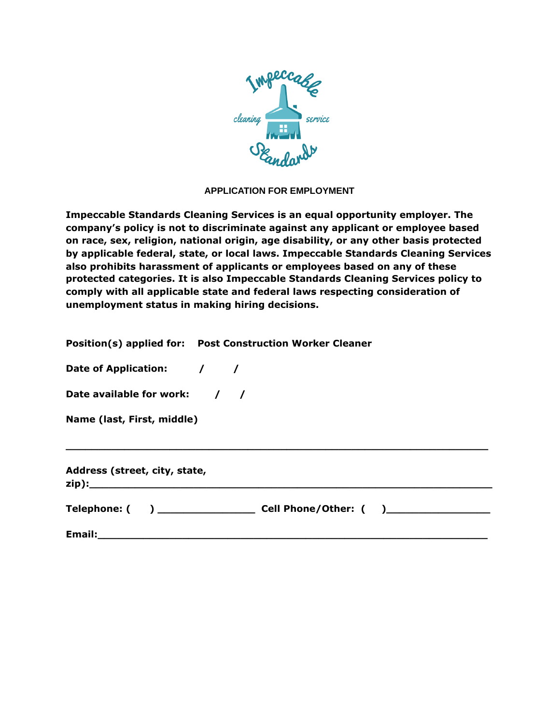

## **APPLICATION FOR EMPLOYMENT**

**Impeccable Standards Cleaning Services is an equal opportunity employer. The company's policy is not to discriminate against any applicant or employee based on race, sex, religion, national origin, age disability, or any other basis protected by applicable federal, state, or local laws. Impeccable Standards Cleaning Services also prohibits harassment of applicants or employees based on any of these protected categories. It is also Impeccable Standards Cleaning Services policy to comply with all applicable state and federal laws respecting consideration of unemployment status in making hiring decisions.**

|  | Position(s) applied for:  Post Construction Worker Cleaner |
|--|------------------------------------------------------------|
|--|------------------------------------------------------------|

**Date of Application: / /**

**Date available for work: / /**

**Name (last, First, middle)**

**Address (street, city, state, zip):\_\_\_\_\_\_\_\_\_\_\_\_\_\_\_\_\_\_\_\_\_\_\_\_\_\_\_\_\_\_\_\_\_\_\_\_\_\_\_\_\_\_\_\_\_\_\_\_\_\_\_\_\_\_\_\_\_\_\_\_\_\_**

| Telephone: ( | Cell Phone/Other: ( |  |
|--------------|---------------------|--|
|              |                     |  |

**\_\_\_\_\_\_\_\_\_\_\_\_\_\_\_\_\_\_\_\_\_\_\_\_\_\_\_\_\_\_\_\_\_\_\_\_\_\_\_\_\_\_\_\_\_\_\_\_\_\_\_\_\_\_\_\_\_\_\_\_\_\_\_\_\_**

**Email:\_\_\_\_\_\_\_\_\_\_\_\_\_\_\_\_\_\_\_\_\_\_\_\_\_\_\_\_\_\_\_\_\_\_\_\_\_\_\_\_\_\_\_\_\_\_\_\_\_\_\_\_\_\_\_\_\_\_\_\_**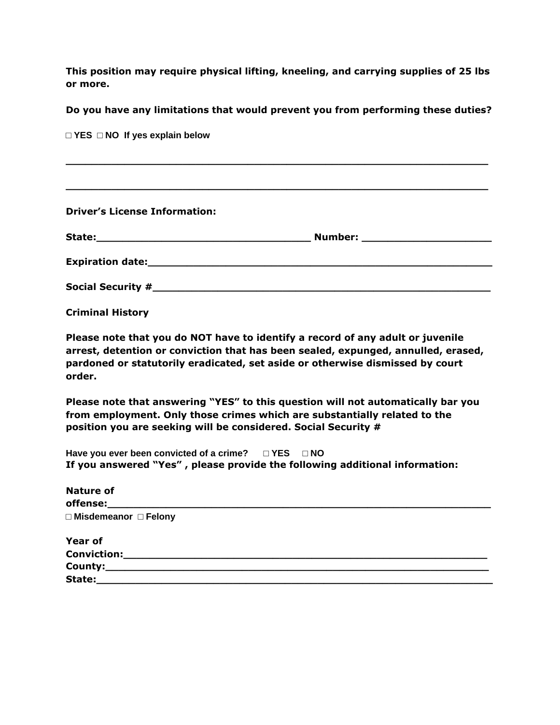**This position may require physical lifting, kneeling, and carrying supplies of 25 lbs or more.**

## **Do you have any limitations that would prevent you from performing these duties?**

| $\Box$ YES $\Box$ NO If yes explain below |  |
|-------------------------------------------|--|
|                                           |  |
|                                           |  |
|                                           |  |
|                                           |  |
| <b>Driver's License Information:</b>      |  |
|                                           |  |
|                                           |  |
|                                           |  |
|                                           |  |
|                                           |  |
| <b>Criminal History</b>                   |  |
|                                           |  |

**Please note that you do NOT have to identify a record of any adult or juvenile arrest, detention or conviction that has been sealed, expunged, annulled, erased, pardoned or statutorily eradicated, set aside or otherwise dismissed by court order.**

**Please note that answering "YES" to this question will not automatically bar you from employment. Only those crimes which are substantially related to the position you are seeking will be considered. Social Security #**

**Have you ever been convicted of a crime? □ YES □ NO If you answered "Yes" , please provide the following additional information:**

| <b>Nature of</b>                 |  |
|----------------------------------|--|
| $\Box$ Misdemeanor $\Box$ Felony |  |
| <b>Year of</b>                   |  |
| Conviction:                      |  |
| County:                          |  |
| State:                           |  |